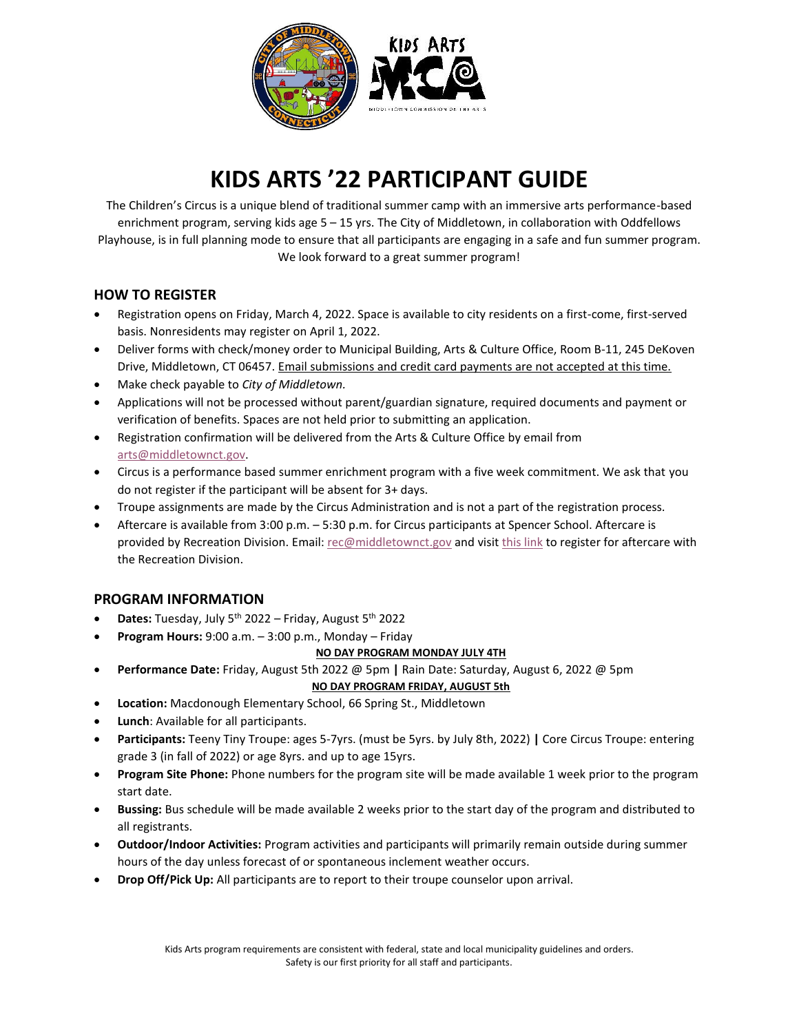

# **KIDS ARTS '22 PARTICIPANT GUIDE**

The Children's Circus is a unique blend of traditional summer camp with an immersive arts performance-based enrichment program, serving kids age 5 – 15 yrs. The City of Middletown, in collaboration with Oddfellows Playhouse, is in full planning mode to ensure that all participants are engaging in a safe and fun summer program. We look forward to a great summer program!

## **HOW TO REGISTER**

- Registration opens on Friday, March 4, 2022. Space is available to city residents on a first-come, first-served basis. Nonresidents may register on April 1, 2022.
- Deliver forms with check/money order to Municipal Building, Arts & Culture Office, Room B-11, 245 DeKoven Drive, Middletown, CT 06457. Email submissions and credit card payments are not accepted at this time.
- Make check payable to *City of Middletown.*
- Applications will not be processed without parent/guardian signature, required documents and payment or verification of benefits. Spaces are not held prior to submitting an application.
- Registration confirmation will be delivered from the Arts & Culture Office by email from [arts@middletownct.gov.](mailto:arts@middletownct.gov)
- Circus is a performance based summer enrichment program with a five week commitment. We ask that you do not register if the participant will be absent for 3+ days.
- Troupe assignments are made by the Circus Administration and is not a part of the registration process.
- Aftercare is available from 3:00 p.m. 5:30 p.m. for Circus participants at Spencer School. Aftercare is provided by Recreation Division. Email: [rec@middletownct.gov](mailto:rec@middletownct.gov) and visi[t this link](https://myrec.middletownct.gov/info/activities/program_details.aspx?ProgramID=30005) to register for aftercare with the Recreation Division.

## **PROGRAM INFORMATION**

- Dates: Tuesday, July 5<sup>th</sup> 2022 Friday, August 5<sup>th</sup> 2022
- **Program Hours:** 9:00 a.m. 3:00 p.m., Monday Friday

#### **NO DAY PROGRAM MONDAY JULY 4TH**

- **Performance Date:** Friday, August 5th 2022 @ 5pm **|** Rain Date: Saturday, August 6, 2022 @ 5pm **NO DAY PROGRAM FRIDAY, AUGUST 5th**
- **Location:** Macdonough Elementary School, 66 Spring St., Middletown
- **Lunch**: Available for all participants.
- **Participants:** Teeny Tiny Troupe: ages 5-7yrs. (must be 5yrs. by July 8th, 2022) **|** Core Circus Troupe: entering grade 3 (in fall of 2022) or age 8yrs. and up to age 15yrs.
- **Program Site Phone:** Phone numbers for the program site will be made available 1 week prior to the program start date.
- **Bussing:** Bus schedule will be made available 2 weeks prior to the start day of the program and distributed to all registrants.
- **Outdoor/Indoor Activities:** Program activities and participants will primarily remain outside during summer hours of the day unless forecast of or spontaneous inclement weather occurs.
- **Drop Off/Pick Up:** All participants are to report to their troupe counselor upon arrival.